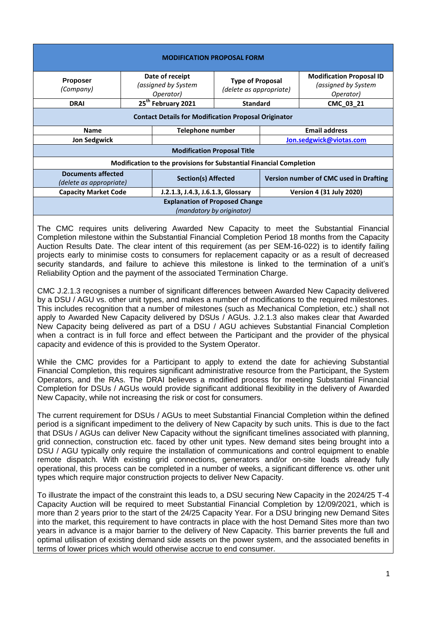| <b>MODIFICATION PROPOSAL FORM</b>                                          |                                                     |                                   |                                                    |                                        |                                                                     |  |
|----------------------------------------------------------------------------|-----------------------------------------------------|-----------------------------------|----------------------------------------------------|----------------------------------------|---------------------------------------------------------------------|--|
| <b>Proposer</b><br>(Company)                                               | Date of receipt<br>(assigned by System<br>Operator) |                                   | <b>Type of Proposal</b><br>(delete as appropriate) |                                        | <b>Modification Proposal ID</b><br>(assigned by System<br>Operator) |  |
| <b>DRAI</b>                                                                | 25 <sup>th</sup> February 2021                      |                                   | <b>Standard</b>                                    |                                        | CMC_03_21                                                           |  |
| <b>Contact Details for Modification Proposal Originator</b>                |                                                     |                                   |                                                    |                                        |                                                                     |  |
| <b>Name</b>                                                                |                                                     | Telephone number                  |                                                    | <b>Email address</b>                   |                                                                     |  |
| <b>Jon Sedgwick</b>                                                        |                                                     |                                   |                                                    | Jon.sedgwick@viotas.com                |                                                                     |  |
| <b>Modification Proposal Title</b>                                         |                                                     |                                   |                                                    |                                        |                                                                     |  |
| <b>Modification to the provisions for Substantial Financial Completion</b> |                                                     |                                   |                                                    |                                        |                                                                     |  |
| <b>Documents affected</b><br>(delete as appropriate)                       |                                                     | <b>Section(s) Affected</b>        |                                                    | Version number of CMC used in Drafting |                                                                     |  |
| <b>Capacity Market Code</b>                                                |                                                     | J.2.1.3, J.4.3, J.6.1.3, Glossary |                                                    | <b>Version 4 (31 July 2020)</b>        |                                                                     |  |
| <b>Explanation of Proposed Change</b><br>(mandatory by originator)         |                                                     |                                   |                                                    |                                        |                                                                     |  |

The CMC requires units delivering Awarded New Capacity to meet the Substantial Financial Completion milestone within the Substantial Financial Completion Period 18 months from the Capacity Auction Results Date. The clear intent of this requirement (as per SEM-16-022) is to identify failing projects early to minimise costs to consumers for replacement capacity or as a result of decreased security standards, and failure to achieve this milestone is linked to the termination of a unit's Reliability Option and the payment of the associated Termination Charge.

CMC J.2.1.3 recognises a number of significant differences between Awarded New Capacity delivered by a DSU / AGU vs. other unit types, and makes a number of modifications to the required milestones. This includes recognition that a number of milestones (such as Mechanical Completion, etc.) shall not apply to Awarded New Capacity delivered by DSUs / AGUs. J.2.1.3 also makes clear that Awarded New Capacity being delivered as part of a DSU / AGU achieves Substantial Financial Completion when a contract is in full force and effect between the Participant and the provider of the physical capacity and evidence of this is provided to the System Operator.

While the CMC provides for a Participant to apply to extend the date for achieving Substantial Financial Completion, this requires significant administrative resource from the Participant, the System Operators, and the RAs. The DRAI believes a modified process for meeting Substantial Financial Completion for DSUs / AGUs would provide significant additional flexibility in the delivery of Awarded New Capacity, while not increasing the risk or cost for consumers.

The current requirement for DSUs / AGUs to meet Substantial Financial Completion within the defined period is a significant impediment to the delivery of New Capacity by such units. This is due to the fact that DSUs / AGUs can deliver New Capacity without the significant timelines associated with planning, grid connection, construction etc. faced by other unit types. New demand sites being brought into a DSU / AGU typically only require the installation of communications and control equipment to enable remote dispatch. With existing grid connections, generators and/or on-site loads already fully operational, this process can be completed in a number of weeks, a significant difference vs. other unit types which require major construction projects to deliver New Capacity.

To illustrate the impact of the constraint this leads to, a DSU securing New Capacity in the 2024/25 T-4 Capacity Auction will be required to meet Substantial Financial Completion by 12/09/2021, which is more than 2 years prior to the start of the 24/25 Capacity Year. For a DSU bringing new Demand Sites into the market, this requirement to have contracts in place with the host Demand Sites more than two years in advance is a major barrier to the delivery of New Capacity. This barrier prevents the full and optimal utilisation of existing demand side assets on the power system, and the associated benefits in terms of lower prices which would otherwise accrue to end consumer.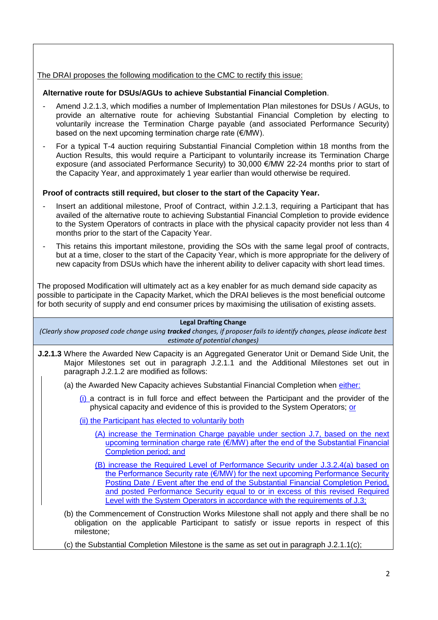## The DRAI proposes the following modification to the CMC to rectify this issue:

## **Alternative route for DSUs/AGUs to achieve Substantial Financial Completion**.

- Amend J.2.1.3, which modifies a number of Implementation Plan milestones for DSUs / AGUs, to provide an alternative route for achieving Substantial Financial Completion by electing to voluntarily increase the Termination Charge payable (and associated Performance Security) based on the next upcoming termination charge rate (€/MW).
- For a typical T-4 auction requiring Substantial Financial Completion within 18 months from the Auction Results, this would require a Participant to voluntarily increase its Termination Charge exposure (and associated Performance Security) to 30,000 €/MW 22-24 months prior to start of the Capacity Year, and approximately 1 year earlier than would otherwise be required.

# **Proof of contracts still required, but closer to the start of the Capacity Year.**

- Insert an additional milestone, Proof of Contract, within J.2.1.3, requiring a Participant that has availed of the alternative route to achieving Substantial Financial Completion to provide evidence to the System Operators of contracts in place with the physical capacity provider not less than 4 months prior to the start of the Capacity Year.
- This retains this important milestone, providing the SOs with the same legal proof of contracts, but at a time, closer to the start of the Capacity Year, which is more appropriate for the delivery of new capacity from DSUs which have the inherent ability to deliver capacity with short lead times.

The proposed Modification will ultimately act as a key enabler for as much demand side capacity as possible to participate in the Capacity Market, which the DRAI believes is the most beneficial outcome for both security of supply and end consumer prices by maximising the utilisation of existing assets.

## **Legal Drafting Change**

*(Clearly show proposed code change using tracked changes, if proposer fails to identify changes, please indicate best estimate of potential changes)*

- **J.2.1.3** Where the Awarded New Capacity is an Aggregated Generator Unit or Demand Side Unit, the Major Milestones set out in paragraph J.2.1.1 and the Additional Milestones set out in paragraph J.2.1.2 are modified as follows:
	- (a) the Awarded New Capacity achieves Substantial Financial Completion when either:
		- (i) a contract is in full force and effect between the Participant and the provider of the physical capacity and evidence of this is provided to the System Operators; or

(ii) the Participant has elected to voluntarily both

- (A) increase the Termination Charge payable under section J.7, based on the next upcoming termination charge rate (€/MW) after the end of the Substantial Financial Completion period; and
- (B) increase the Required Level of Performance Security under J.3.2.4(a) based on the Performance Security rate (€/MW) for the next upcoming Performance Security Posting Date / Event after the end of the Substantial Financial Completion Period, and posted Performance Security equal to or in excess of this revised Required Level with the System Operators in accordance with the requirements of J.3;
- (b) the Commencement of Construction Works Milestone shall not apply and there shall be no obligation on the applicable Participant to satisfy or issue reports in respect of this milestone;
- (c) the Substantial Completion Milestone is the same as set out in paragraph  $J.2.1.1(c)$ ;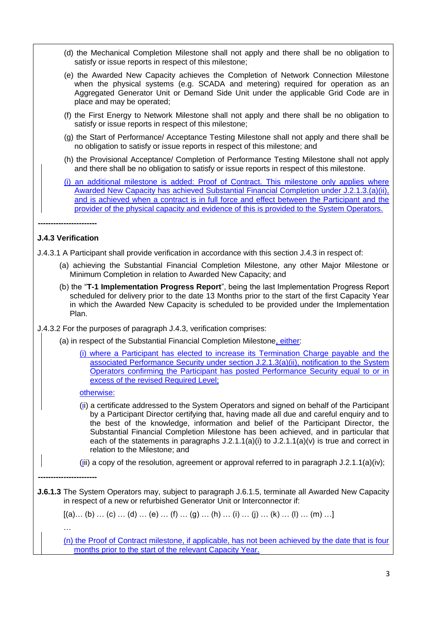- (d) the Mechanical Completion Milestone shall not apply and there shall be no obligation to satisfy or issue reports in respect of this milestone;
- (e) the Awarded New Capacity achieves the Completion of Network Connection Milestone when the physical systems (e.g. SCADA and metering) required for operation as an Aggregated Generator Unit or Demand Side Unit under the applicable Grid Code are in place and may be operated;
- (f) the First Energy to Network Milestone shall not apply and there shall be no obligation to satisfy or issue reports in respect of this milestone;
- (g) the Start of Performance/ Acceptance Testing Milestone shall not apply and there shall be no obligation to satisfy or issue reports in respect of this milestone; and
- (h) the Provisional Acceptance/ Completion of Performance Testing Milestone shall not apply and there shall be no obligation to satisfy or issue reports in respect of this milestone.
- (i) an additional milestone is added: Proof of Contract. This milestone only applies where Awarded New Capacity has achieved Substantial Financial Completion under J.2.1.3.(a)(ii), and is achieved when a contract is in full force and effect between the Participant and the provider of the physical capacity and evidence of this is provided to the System Operators.

# **----------------------- J.4.3 Verification**

J.4.3.1 A Participant shall provide verification in accordance with this section J.4.3 in respect of:

- (a) achieving the Substantial Financial Completion Milestone, any other Major Milestone or Minimum Completion in relation to Awarded New Capacity; and
- (b) the "**T-1 Implementation Progress Report**", being the last Implementation Progress Report scheduled for delivery prior to the date 13 Months prior to the start of the first Capacity Year in which the Awarded New Capacity is scheduled to be provided under the Implementation Plan.
- J.4.3.2 For the purposes of paragraph J.4.3, verification comprises:
	- (a) in respect of the Substantial Financial Completion Milestone, either:
		- (i) where a Participant has elected to increase its Termination Charge payable and the associated Performance Security under section J.2.1.3(a)(ii), notification to the System Operators confirming the Participant has posted Performance Security equal to or in excess of the revised Required Level:

## otherwise:

**-----------------------**

…

- (ii) a certificate addressed to the System Operators and signed on behalf of the Participant by a Participant Director certifying that, having made all due and careful enquiry and to the best of the knowledge, information and belief of the Participant Director, the Substantial Financial Completion Milestone has been achieved, and in particular that each of the statements in paragraphs  $J(2.1.1(a)(i)$  to  $J(2.1.1(a)(v))$  is true and correct in relation to the Milestone; and
- (iii) a copy of the resolution, agreement or approval referred to in paragraph  $J.2.1.1(a)(iv)$ ;
- **J.6.1.3** The System Operators may, subject to paragraph J.6.1.5, terminate all Awarded New Capacity in respect of a new or refurbished Generator Unit or Interconnector if:

 $[(a)...(b)...(c)...(d)...(e)...(f)...(g)...(h)...(i)...(i)...(i)...(k)...(l)...(m)...]$ 

(n) the Proof of Contract milestone, if applicable, has not been achieved by the date that is four months prior to the start of the relevant Capacity Year.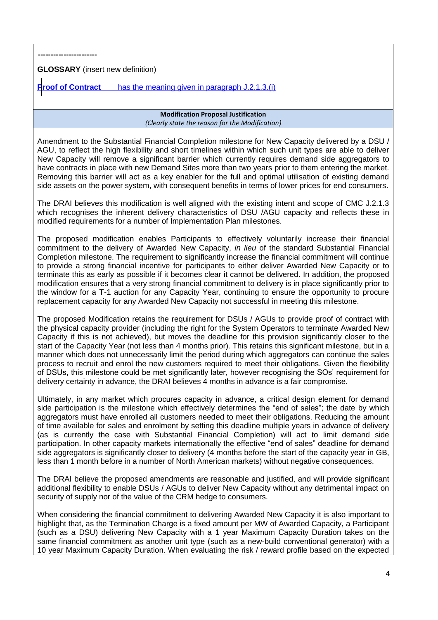**-----------------------**

**GLOSSARY** (insert new definition)

**Proof of Contract** has the meaning given in paragraph J.2.1.3.(i)

### **Modification Proposal Justification** *(Clearly state the reason for the Modification)*

Amendment to the Substantial Financial Completion milestone for New Capacity delivered by a DSU / AGU, to reflect the high flexibility and short timelines within which such unit types are able to deliver New Capacity will remove a significant barrier which currently requires demand side aggregators to have contracts in place with new Demand Sites more than two years prior to them entering the market. Removing this barrier will act as a key enabler for the full and optimal utilisation of existing demand side assets on the power system, with consequent benefits in terms of lower prices for end consumers.

The DRAI believes this modification is well aligned with the existing intent and scope of CMC J.2.1.3 which recognises the inherent delivery characteristics of DSU /AGU capacity and reflects these in modified requirements for a number of Implementation Plan milestones.

The proposed modification enables Participants to effectively voluntarily increase their financial commitment to the delivery of Awarded New Capacity, *in lieu* of the standard Substantial Financial Completion milestone. The requirement to significantly increase the financial commitment will continue to provide a strong financial incentive for participants to either deliver Awarded New Capacity or to terminate this as early as possible if it becomes clear it cannot be delivered. In addition, the proposed modification ensures that a very strong financial commitment to delivery is in place significantly prior to the window for a T-1 auction for any Capacity Year, continuing to ensure the opportunity to procure replacement capacity for any Awarded New Capacity not successful in meeting this milestone.

The proposed Modification retains the requirement for DSUs / AGUs to provide proof of contract with the physical capacity provider (including the right for the System Operators to terminate Awarded New Capacity if this is not achieved), but moves the deadline for this provision significantly closer to the start of the Capacity Year (not less than 4 months prior). This retains this significant milestone, but in a manner which does not unnecessarily limit the period during which aggregators can continue the sales process to recruit and enrol the new customers required to meet their obligations. Given the flexibility of DSUs, this milestone could be met significantly later, however recognising the SOs' requirement for delivery certainty in advance, the DRAI believes 4 months in advance is a fair compromise.

Ultimately, in any market which procures capacity in advance, a critical design element for demand side participation is the milestone which effectively determines the "end of sales"; the date by which aggregators must have enrolled all customers needed to meet their obligations. Reducing the amount of time available for sales and enrolment by setting this deadline multiple years in advance of delivery (as is currently the case with Substantial Financial Completion) will act to limit demand side participation. In other capacity markets internationally the effective "end of sales" deadline for demand side aggregators is significantly closer to delivery (4 months before the start of the capacity year in GB, less than 1 month before in a number of North American markets) without negative consequences.

The DRAI believe the proposed amendments are reasonable and justified, and will provide significant additional flexibility to enable DSUs / AGUs to deliver New Capacity without any detrimental impact on security of supply nor of the value of the CRM hedge to consumers.

When considering the financial commitment to delivering Awarded New Capacity it is also important to highlight that, as the Termination Charge is a fixed amount per MW of Awarded Capacity, a Participant (such as a DSU) delivering New Capacity with a 1 year Maximum Capacity Duration takes on the same financial commitment as another unit type (such as a new-build conventional generator) with a 10 year Maximum Capacity Duration. When evaluating the risk / reward profile based on the expected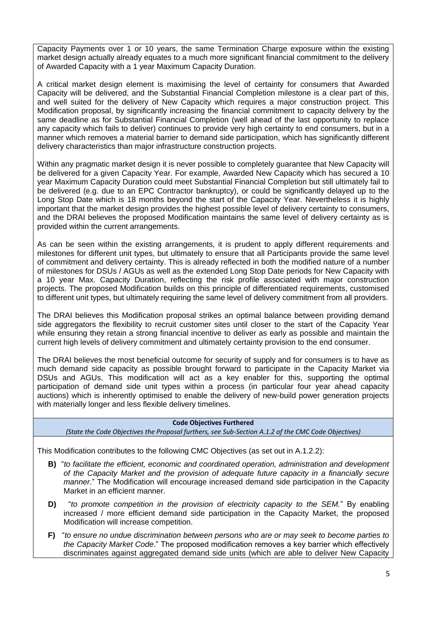Capacity Payments over 1 or 10 years, the same Termination Charge exposure within the existing market design actually already equates to a much more significant financial commitment to the delivery of Awarded Capacity with a 1 year Maximum Capacity Duration.

A critical market design element is maximising the level of certainty for consumers that Awarded Capacity will be delivered, and the Substantial Financial Completion milestone is a clear part of this, and well suited for the delivery of New Capacity which requires a major construction project. This Modification proposal, by significantly increasing the financial commitment to capacity delivery by the same deadline as for Substantial Financial Completion (well ahead of the last opportunity to replace any capacity which fails to deliver) continues to provide very high certainty to end consumers, but in a manner which removes a material barrier to demand side participation, which has significantly different delivery characteristics than major infrastructure construction projects.

Within any pragmatic market design it is never possible to completely guarantee that New Capacity will be delivered for a given Capacity Year. For example, Awarded New Capacity which has secured a 10 year Maximum Capacity Duration could meet Substantial Financial Completion but still ultimately fail to be delivered (e.g. due to an EPC Contractor bankruptcy), or could be significantly delayed up to the Long Stop Date which is 18 months beyond the start of the Capacity Year. Nevertheless it is highly important that the market design provides the highest possible level of delivery certainty to consumers, and the DRAI believes the proposed Modification maintains the same level of delivery certainty as is provided within the current arrangements.

As can be seen within the existing arrangements, it is prudent to apply different requirements and milestones for different unit types, but ultimately to ensure that all Participants provide the same level of commitment and delivery certainty. This is already reflected in both the modified nature of a number of milestones for DSUs / AGUs as well as the extended Long Stop Date periods for New Capacity with a 10 year Max. Capacity Duration, reflecting the risk profile associated with major construction projects. The proposed Modification builds on this principle of differentiated requirements, customised to different unit types, but ultimately requiring the same level of delivery commitment from all providers.

The DRAI believes this Modification proposal strikes an optimal balance between providing demand side aggregators the flexibility to recruit customer sites until closer to the start of the Capacity Year while ensuring they retain a strong financial incentive to deliver as early as possible and maintain the current high levels of delivery commitment and ultimately certainty provision to the end consumer.

The DRAI believes the most beneficial outcome for security of supply and for consumers is to have as much demand side capacity as possible brought forward to participate in the Capacity Market via DSUs and AGUs. This modification will act as a key enabler for this, supporting the optimal participation of demand side unit types within a process (in particular four year ahead capacity auctions) which is inherently optimised to enable the delivery of new-build power generation projects with materially longer and less flexible delivery timelines.

### **Code Objectives Furthered**

*(State the Code Objectives the Proposal furthers, see Sub-Section A.1.2 of the CMC Code Objectives)*

This Modification contributes to the following CMC Objectives (as set out in A.1.2.2):

- **B)** "*to facilitate the efficient, economic and coordinated operation, administration and development of the Capacity Market and the provision of adequate future capacity in a financially secure manner*." The Modification will encourage increased demand side participation in the Capacity Market in an efficient manner.
- **D)** "*to promote competition in the provision of electricity capacity to the SEM.*" By enabling increased / more efficient demand side participation in the Capacity Market, the proposed Modification will increase competition.
- **F)** "*to ensure no undue discrimination between persons who are or may seek to become parties to the Capacity Market Code*." The proposed modification removes a key barrier which effectively discriminates against aggregated demand side units (which are able to deliver New Capacity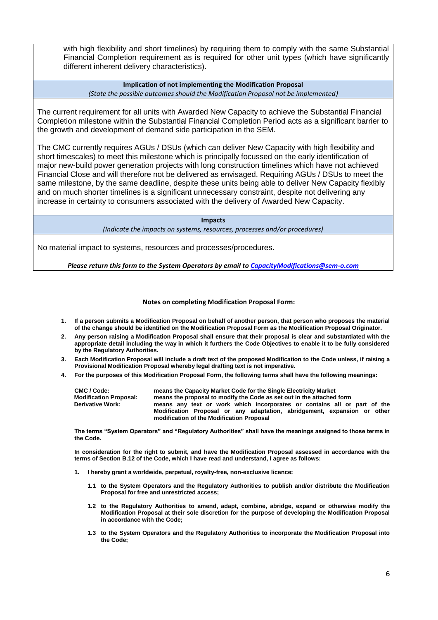with high flexibility and short timelines) by requiring them to comply with the same Substantial Financial Completion requirement as is required for other unit types (which have significantly different inherent delivery characteristics).

**Implication of not implementing the Modification Proposal** *(State the possible outcomes should the Modification Proposal not be implemented)*

The current requirement for all units with Awarded New Capacity to achieve the Substantial Financial Completion milestone within the Substantial Financial Completion Period acts as a significant barrier to the growth and development of demand side participation in the SEM.

The CMC currently requires AGUs / DSUs (which can deliver New Capacity with high flexibility and short timescales) to meet this milestone which is principally focussed on the early identification of major new-build power generation projects with long construction timelines which have not achieved Financial Close and will therefore not be delivered as envisaged. Requiring AGUs / DSUs to meet the same milestone, by the same deadline, despite these units being able to deliver New Capacity flexibly and on much shorter timelines is a significant unnecessary constraint, despite not delivering any increase in certainty to consumers associated with the delivery of Awarded New Capacity.

**Impacts**

*(Indicate the impacts on systems, resources, processes and/or procedures)*

No material impact to systems, resources and processes/procedures.

*Please return this form to the System Operators by email t[o CapacityModifications@sem-o.com](mailto:CapacityModifications@sem-o.com)*

#### **Notes on completing Modification Proposal Form:**

- **1. If a person submits a Modification Proposal on behalf of another person, that person who proposes the material of the change should be identified on the Modification Proposal Form as the Modification Proposal Originator.**
- **2. Any person raising a Modification Proposal shall ensure that their proposal is clear and substantiated with the appropriate detail including the way in which it furthers the Code Objectives to enable it to be fully considered by the Regulatory Authorities.**
- **3. Each Modification Proposal will include a draft text of the proposed Modification to the Code unless, if raising a Provisional Modification Proposal whereby legal drafting text is not imperative.**
- **4. For the purposes of this Modification Proposal Form, the following terms shall have the following meanings:**

| CMC / Code:                   | means the Capacity Market Code for the Single Electricity Market                                                                                                                                  |  |  |  |  |  |
|-------------------------------|---------------------------------------------------------------------------------------------------------------------------------------------------------------------------------------------------|--|--|--|--|--|
| <b>Modification Proposal:</b> | means the proposal to modify the Code as set out in the attached form                                                                                                                             |  |  |  |  |  |
| <b>Derivative Work:</b>       | means any text or work which incorporates or contains all or part of the<br>Modification Proposal or any adaptation, abridgement, expansion or other<br>modification of the Modification Proposal |  |  |  |  |  |

**The terms "System Operators" and "Regulatory Authorities" shall have the meanings assigned to those terms in the Code.** 

**In consideration for the right to submit, and have the Modification Proposal assessed in accordance with the terms of Section B.12 of the Code, which I have read and understand, I agree as follows:**

- **1. I hereby grant a worldwide, perpetual, royalty-free, non-exclusive licence:**
	- **1.1 to the System Operators and the Regulatory Authorities to publish and/or distribute the Modification Proposal for free and unrestricted access;**
	- **1.2 to the Regulatory Authorities to amend, adapt, combine, abridge, expand or otherwise modify the Modification Proposal at their sole discretion for the purpose of developing the Modification Proposal in accordance with the Code;**
	- **1.3 to the System Operators and the Regulatory Authorities to incorporate the Modification Proposal into the Code;**